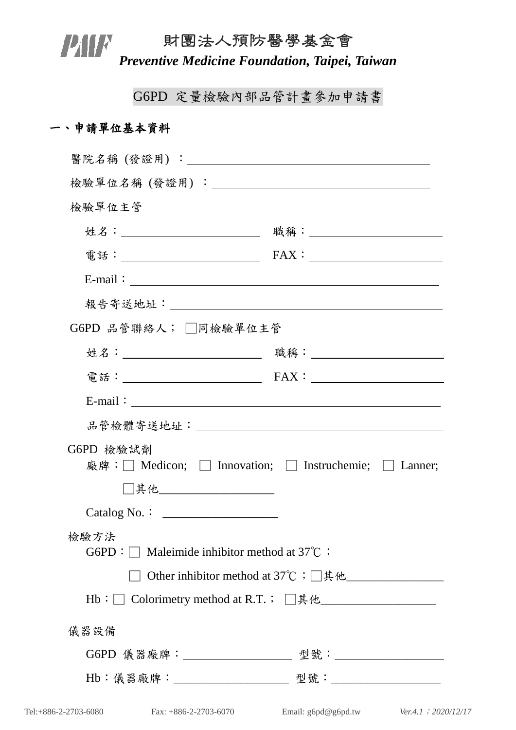## 財團法人預防醫學基金會 **PIN FEDED SETES ASSESS FEDERAL PREVENTIVE MEDITAL PREVENTIVE REGALACE PREVENTIVE PREVENTIVE PREVENTIVE PREVENT**<br>**Preventive Medicine Foundation, Taipei, Taiwan**

G6PD 定量檢驗內部品管計畫參加申請書

## 一、申請單位基本資料

| 檢驗單位主管                                                                                                                                                                                                                                                                                                           |                              |  |
|------------------------------------------------------------------------------------------------------------------------------------------------------------------------------------------------------------------------------------------------------------------------------------------------------------------|------------------------------|--|
| 姓名:__________________________                                                                                                                                                                                                                                                                                    | 職稱:_________________________ |  |
|                                                                                                                                                                                                                                                                                                                  |                              |  |
| $E$ -mail: $\frac{1}{2}$ $\frac{1}{2}$ $\frac{1}{2}$ $\frac{1}{2}$ $\frac{1}{2}$ $\frac{1}{2}$ $\frac{1}{2}$ $\frac{1}{2}$ $\frac{1}{2}$ $\frac{1}{2}$ $\frac{1}{2}$ $\frac{1}{2}$ $\frac{1}{2}$ $\frac{1}{2}$ $\frac{1}{2}$ $\frac{1}{2}$ $\frac{1}{2}$ $\frac{1}{2}$ $\frac{1}{2}$ $\frac{1}{2}$ $\frac{1}{2}$ |                              |  |
|                                                                                                                                                                                                                                                                                                                  |                              |  |
| G6PD 品管聯絡人; □同檢驗單位主管                                                                                                                                                                                                                                                                                             |                              |  |
| 姓名:__________________________                                                                                                                                                                                                                                                                                    |                              |  |
|                                                                                                                                                                                                                                                                                                                  |                              |  |
| E-mail: $\qquad \qquad$                                                                                                                                                                                                                                                                                          |                              |  |
|                                                                                                                                                                                                                                                                                                                  |                              |  |
| G6PD 檢驗試劑<br>廠牌:□ Medicon; □ Innovation; □ Instruchemie; □ Lanner;                                                                                                                                                                                                                                               |                              |  |
| □其他____________________                                                                                                                                                                                                                                                                                          |                              |  |
| $\text{Catalog No.}:$                                                                                                                                                                                                                                                                                            |                              |  |
| 檢驗方法<br>G6PD : $\Box$ Maleimide inhibitor method at 37°C ;                                                                                                                                                                                                                                                       |                              |  |
|                                                                                                                                                                                                                                                                                                                  |                              |  |
| Hb: □ Colorimetry method at R.T.; □其他__________________                                                                                                                                                                                                                                                          |                              |  |
| 儀器設備                                                                                                                                                                                                                                                                                                             |                              |  |
|                                                                                                                                                                                                                                                                                                                  |                              |  |
|                                                                                                                                                                                                                                                                                                                  |                              |  |
|                                                                                                                                                                                                                                                                                                                  |                              |  |